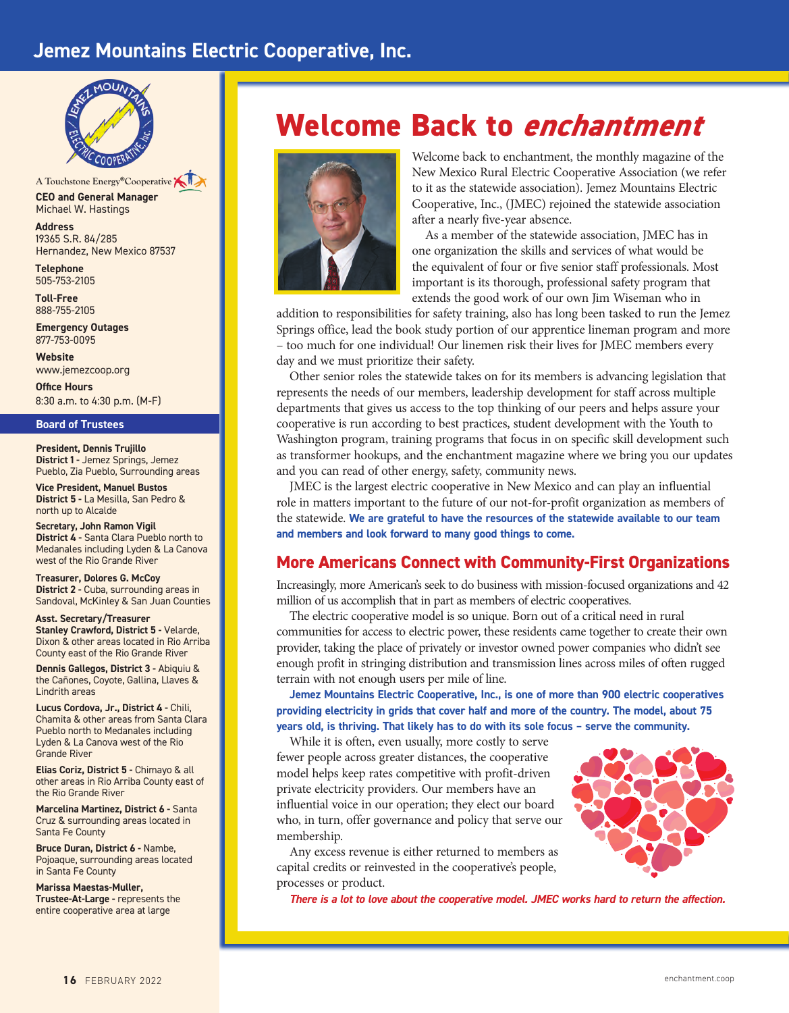# **Jemez Mountains Electric Cooperative, Inc.**



**CEO and General Manager** Michael W. Hastings A Touchstone Energy<sup>®</sup>Cooperative

**Address** 19365 S.R. 84/285 Hernandez, New Mexico 87537

**Telephone** 505-753-2105

**Toll-Free**  888-755-2105

**Emergency Outages** 877-753-0095

**Website** www.jemezcoop.org

**Office Hours** 8:30 a.m. to 4:30 p.m. (M-F)

#### **Board of Trustees**

**President, Dennis Trujillo District 1 -** Jemez Springs, Jemez Pueblo, Zia Pueblo, Surrounding areas

**Vice President, Manuel Bustos District 5 -** La Mesilla, San Pedro & north up to Alcalde

**Secretary, John Ramon Vigil District 4 -** Santa Clara Pueblo north to Medanales including Lyden & La Canova west of the Rio Grande River

**Treasurer, Dolores G. McCoy District 2 - Cuba, surrounding areas in** Sandoval, McKinley & San Juan Counties

**Asst. Secretary/Treasurer Stanley Crawford, District 5 - Velarde.** Dixon & other areas located in Rio Arriba County east of the Rio Grande River

**Dennis Gallegos, District 3 -** Abiquiu & the Cañones, Coyote, Gallina, Llaves & Lindrith areas

**Lucus Cordova, Jr., District 4 -** Chili, Chamita & other areas from Santa Clara Pueblo north to Medanales including Lyden & La Canova west of the Rio Grande River

**Elias Coriz, District 5 -** Chimayo & all other areas in Rio Arriba County east of the Rio Grande River

**Marcelina Martinez, District 6 -** Santa Cruz & surrounding areas located in Santa Fe County

**Bruce Duran, District 6 -** Nambe, Pojoaque, surrounding areas located in Santa Fe County

**Marissa Maestas-Muller, Trustee-At-Large -** represents the entire cooperative area at large

# **Welcome Back to** *enchantment*



Welcome back to enchantment, the monthly magazine of the New Mexico Rural Electric Cooperative Association (we refer to it as the statewide association). Jemez Mountains Electric Cooperative, Inc., (JMEC) rejoined the statewide association after a nearly five-year absence.

As a member of the statewide association, JMEC has in one organization the skills and services of what would be the equivalent of four or five senior staff professionals. Most important is its thorough, professional safety program that extends the good work of our own Jim Wiseman who in

addition to responsibilities for safety training, also has long been tasked to run the Jemez Springs office, lead the book study portion of our apprentice lineman program and more – too much for one individual! Our linemen risk their lives for JMEC members every day and we must prioritize their safety.

Other senior roles the statewide takes on for its members is advancing legislation that represents the needs of our members, leadership development for staff across multiple departments that gives us access to the top thinking of our peers and helps assure your cooperative is run according to best practices, student development with the Youth to Washington program, training programs that focus in on specific skill development such as transformer hookups, and the enchantment magazine where we bring you our updates and you can read of other energy, safety, community news.

JMEC is the largest electric cooperative in New Mexico and can play an influential role in matters important to the future of our not-for-profit organization as members of the statewide. **We are grateful to have the resources of the statewide available to our team and members and look forward to many good things to come.**

# **More Americans Connect with Community-First Organizations**

Increasingly, more American's seek to do business with mission-focused organizations and 42 million of us accomplish that in part as members of electric cooperatives.

The electric cooperative model is so unique. Born out of a critical need in rural communities for access to electric power, these residents came together to create their own provider, taking the place of privately or investor owned power companies who didn't see enough profit in stringing distribution and transmission lines across miles of often rugged terrain with not enough users per mile of line.

**Jemez Mountains Electric Cooperative, Inc., is one of more than 900 electric cooperatives providing electricity in grids that cover half and more of the country. The model, about 75 years old, is thriving. That likely has to do with its sole focus – serve the community.** 

While it is often, even usually, more costly to serve fewer people across greater distances, the cooperative model helps keep rates competitive with profit-driven private electricity providers. Our members have an influential voice in our operation; they elect our board who, in turn, offer governance and policy that serve our membership.

Any excess revenue is either returned to members as capital credits or reinvested in the cooperative's people, processes or product.



*There is a lot to love about the cooperative model. JMEC works hard to return the affection.*